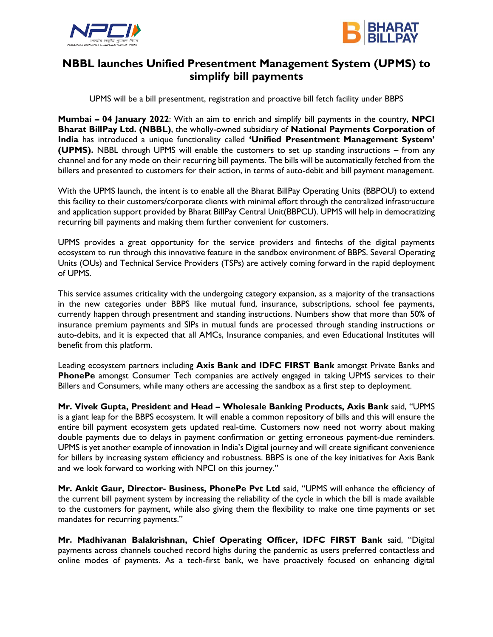



## **NBBL launches Unified Presentment Management System (UPMS) to simplify bill payments**

UPMS will be a bill presentment, registration and proactive bill fetch facility under BBPS

**Mumbai – 04 January 2022**: With an aim to enrich and simplify bill payments in the country, **NPCI Bharat BillPay Ltd. (NBBL)**, the wholly-owned subsidiary of **National Payments Corporation of India** has introduced a unique functionality called **'Unified Presentment Management System' (UPMS).** NBBL through UPMS will enable the customers to set up standing instructions – from any channel and for any mode on their recurring bill payments. The bills will be automatically fetched from the billers and presented to customers for their action, in terms of auto-debit and bill payment management.

With the UPMS launch, the intent is to enable all the Bharat BillPay Operating Units (BBPOU) to extend this facility to their customers/corporate clients with minimal effort through the centralized infrastructure and application support provided by Bharat BillPay Central Unit(BBPCU). UPMS will help in democratizing recurring bill payments and making them further convenient for customers.

UPMS provides a great opportunity for the service providers and fintechs of the digital payments ecosystem to run through this innovative feature in the sandbox environment of BBPS. Several Operating Units (OUs) and Technical Service Providers (TSPs) are actively coming forward in the rapid deployment of UPMS.

This service assumes criticality with the undergoing category expansion, as a majority of the transactions in the new categories under BBPS like mutual fund, insurance, subscriptions, school fee payments, currently happen through presentment and standing instructions. Numbers show that more than 50% of insurance premium payments and SIPs in mutual funds are processed through standing instructions or auto-debits, and it is expected that all AMCs, Insurance companies, and even Educational Institutes will benefit from this platform.

Leading ecosystem partners including **Axis Bank and IDFC FIRST Bank** amongst Private Banks and **PhonePe** amongst Consumer Tech companies are actively engaged in taking UPMS services to their Billers and Consumers, while many others are accessing the sandbox as a first step to deployment.

**Mr. Vivek Gupta, President and Head – Wholesale Banking Products, Axis Bank** said, "UPMS is a giant leap for the BBPS ecosystem. It will enable a common repository of bills and this will ensure the entire bill payment ecosystem gets updated real-time. Customers now need not worry about making double payments due to delays in payment confirmation or getting erroneous payment-due reminders. UPMS is yet another example of innovation in India's Digital journey and will create significant convenience for billers by increasing system efficiency and robustness. BBPS is one of the key initiatives for Axis Bank and we look forward to working with NPCI on this journey."

**Mr. Ankit Gaur, Director- Business, PhonePe Pvt Ltd** said, "UPMS will enhance the efficiency of the current bill payment system by increasing the reliability of the cycle in which the bill is made available to the customers for payment, while also giving them the flexibility to make one time payments or set mandates for recurring payments."

**Mr. Madhivanan Balakrishnan, Chief Operating Officer, IDFC FIRST Bank** said, "Digital payments across channels touched record highs during the pandemic as users preferred contactless and online modes of payments. As a tech-first bank, we have proactively focused on enhancing digital